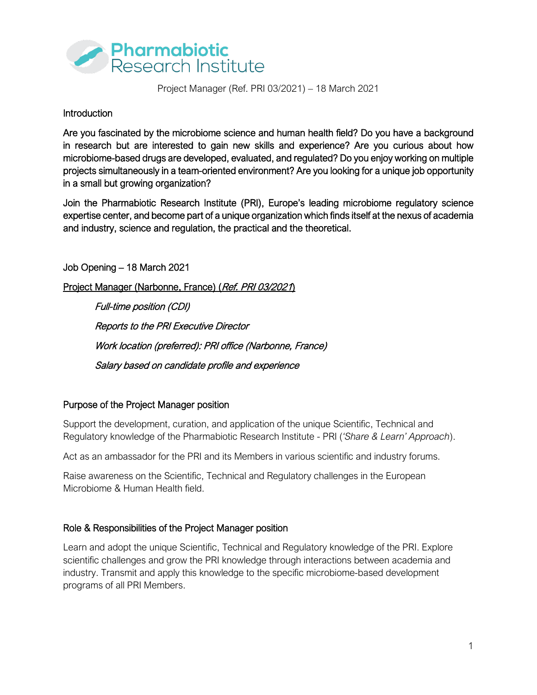

Project Manager (Ref. PRI 03/2021) – 18 March 2021

#### **Introduction**

Are you fascinated by the microbiome science and human health field? Do you have a background in research but are interested to gain new skills and experience? Are you curious about how microbiome-based drugs are developed, evaluated, and regulated? Do you enjoy working on multiple projects simultaneously in a team-oriented environment? Are you looking for a unique job opportunity in a small but growing organization?

Join the Pharmabiotic Research Institute (PRI), Europe's leading microbiome regulatory science expertise center, and become part of a unique organization which finds itself at the nexus of academia and industry, science and regulation, the practical and the theoretical.

Job Opening – 18 March 2021

Project Manager (Narbonne, France) (Ref. PRI 03/2021)

 Full-time position (CDI) Reports to the PRI Executive Director Work location (preferred): PRI office (Narbonne, France) Salary based on candidate profile and experience

## Purpose of the Project Manager position

Support the development, curation, and application of the unique Scientific, Technical and Regulatory knowledge of the Pharmabiotic Research Institute - PRI (*'Share & Learn' Approach*).

Act as an ambassador for the PRI and its Members in various scientific and industry forums.

Raise awareness on the Scientific, Technical and Regulatory challenges in the European Microbiome & Human Health field.

#### Role & Responsibilities of the Project Manager position

Learn and adopt the unique Scientific, Technical and Regulatory knowledge of the PRI. Explore scientific challenges and grow the PRI knowledge through interactions between academia and industry. Transmit and apply this knowledge to the specific microbiome-based development programs of all PRI Members.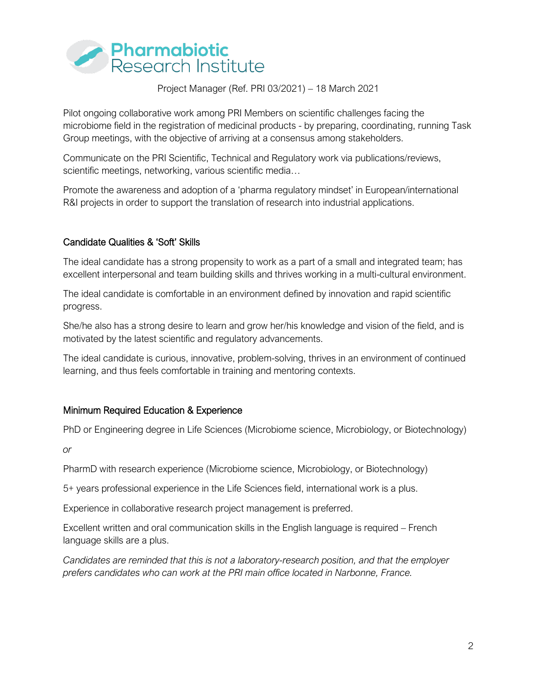

Project Manager (Ref. PRI 03/2021) – 18 March 2021

Pilot ongoing collaborative work among PRI Members on scientific challenges facing the microbiome field in the registration of medicinal products - by preparing, coordinating, running Task Group meetings, with the objective of arriving at a consensus among stakeholders.

Communicate on the PRI Scientific, Technical and Regulatory work via publications/reviews, scientific meetings, networking, various scientific media…

Promote the awareness and adoption of a 'pharma regulatory mindset' in European/international R&I projects in order to support the translation of research into industrial applications.

## Candidate Qualities & 'Soft' Skills

The ideal candidate has a strong propensity to work as a part of a small and integrated team; has excellent interpersonal and team building skills and thrives working in a multi-cultural environment.

The ideal candidate is comfortable in an environment defined by innovation and rapid scientific progress.

She/he also has a strong desire to learn and grow her/his knowledge and vision of the field, and is motivated by the latest scientific and regulatory advancements.

The ideal candidate is curious, innovative, problem-solving, thrives in an environment of continued learning, and thus feels comfortable in training and mentoring contexts.

## Minimum Required Education & Experience

PhD or Engineering degree in Life Sciences (Microbiome science, Microbiology, or Biotechnology)

*or*

PharmD with research experience (Microbiome science, Microbiology, or Biotechnology)

5+ years professional experience in the Life Sciences field, international work is a plus.

Experience in collaborative research project management is preferred.

Excellent written and oral communication skills in the English language is required – French language skills are a plus.

*Candidates are reminded that this is not a laboratory-research position, and that the employer prefers candidates who can work at the PRI main office located in Narbonne, France.*